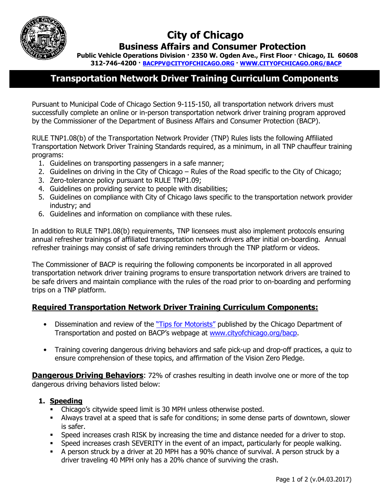

# **City of Chicago Business Affairs and Consumer Protection**

**Public Vehicle Operations Division · 2350 W. Ogden Ave., First Floor · Chicago, IL 60608** 

**312-746-4200 · [BACPPV@CITYOFCHICAGO.ORG ·](mailto:BACPPV@CITYOFCHICAGO.ORG) [WWW.CITYOFCHICAGO.ORG/BACP](http://www.cityofchicago.org/BACP)** 

# **Transportation Network Driver Training Curriculum Components**

Pursuant to Municipal Code of Chicago Section 9-115-150, all transportation network drivers must successfully complete an online or in-person transportation network driver training program approved by the Commissioner of the Department of Business Affairs and Consumer Protection (BACP).

 RULE TNP1.08(b) of the Transportation Network Provider (TNP) Rules lists the following Affiliated Transportation Network Driver Training Standards required, as a minimum, in all TNP chauffeur training programs:

- 1. Guidelines on transporting passengers in a safe manner;
- 2. Guidelines on driving in the City of Chicago Rules of the Road specific to the City of Chicago;
- 3. Zero-tolerance policy pursuant to RULE TNP1.09;
- 4. Guidelines on providing service to people with disabilities;
- 5. Guidelines on compliance with City of Chicago laws specific to the transportation network provider industry; and
- 6. Guidelines and information on compliance with these rules.

 In addition to RULE TNP1.08(b) requirements, TNP licensees must also implement protocols ensuring refresher trainings may consist of safe driving reminders through the TNP platform or videos. annual refresher trainings of affiliated transportation network drivers after initial on-boarding. Annual

 The Commissioner of BACP is requiring the following components be incorporated in all approved trips on a TNP platform. transportation network driver training programs to ensure transportation network drivers are trained to be safe drivers and maintain compliance with the rules of the road prior to on-boarding and performing

## **Required Transportation Network Driver Training Curriculum Components:**

- Dissemination and review of the ["Tips for Motorists"](https://www.cityofchicago.org/content/dam/city/depts/bacp/publicvehicleinfo/publicchauffer/TipsforMotorist03072017.pdf) published by the Chicago Department of Transportation and posted on BACP's webpage at [www.cityofchicago.org/bacp.](http://www.cityofchicago.org/bacp)
- Training covering dangerous driving behaviors and safe pick-up and drop-off practices, a quiz to ensure comprehension of these topics, and affirmation of the Vision Zero Pledge.

**Dangerous Driving Behaviors:** 72% of crashes resulting in death involve one or more of the top dangerous driving behaviors listed below:

### **1. Speeding**

- Chicago's citywide speed limit is 30 MPH unless otherwise posted.
- Always travel at a speed that is safe for conditions; in some dense parts of downtown, slower is safer.
- Speed increases crash RISK by increasing the time and distance needed for a driver to stop.
- Speed increases crash SEVERITY in the event of an impact, particularly for people walking.
- A person struck by a driver at 20 MPH has a 90% chance of survival. A person struck by a driver traveling 40 MPH only has a 20% chance of surviving the crash.